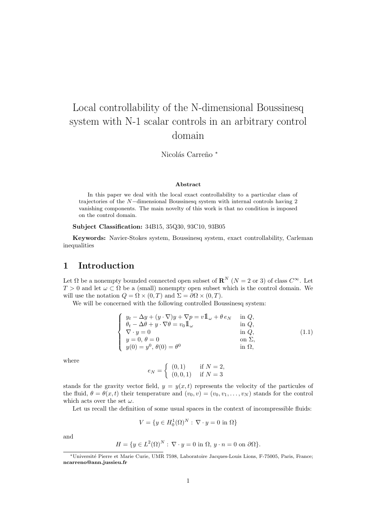# Local controllability of the N-dimensional Boussinesq system with N-1 scalar controls in an arbitrary control domain

Nicolás Carreño \*

#### Abstract

In this paper we deal with the local exact controllability to a particular class of trajectories of the N−dimensional Boussinesq system with internal controls having 2 vanishing components. The main novelty of this work is that no condition is imposed on the control domain.

Subject Classification: 34B15, 35Q30, 93C10, 93B05

Keywords: Navier-Stokes system, Boussinesq system, exact controllability, Carleman inequalities

## 1 Introduction

Let  $\Omega$  be a nonempty bounded connected open subset of  $\mathbb{R}^N$   $(N = 2 \text{ or } 3)$  of class  $C^{\infty}$ . Let  $T > 0$  and let  $\omega \subset \Omega$  be a (small) nonempty open subset which is the control domain. We will use the notation  $Q = \Omega \times (0, T)$  and  $\Sigma = \partial \Omega \times (0, T)$ .

We will be concerned with the following controlled Boussinesq system:

$$
\begin{cases}\n y_t - \Delta y + (y \cdot \nabla)y + \nabla p = v \mathbb{1}_{\omega} + \theta e_N & \text{in } Q, \\
 \theta_t - \Delta \theta + y \cdot \nabla \theta = v_0 \mathbb{1}_{\omega} & \text{in } Q, \\
 \nabla \cdot y = 0 & \text{in } Q, \\
 y = 0, \ \theta = 0 & \text{on } \Sigma, \\
 y(0) = y^0, \ \theta(0) = \theta^0 & \text{in } \Omega,\n\end{cases}
$$
\n(1.1)

where

$$
e_N = \begin{cases} (0,1) & \text{if } N = 2, \\ (0,0,1) & \text{if } N = 3 \end{cases}
$$

stands for the gravity vector field,  $y = y(x, t)$  represents the velocity of the particules of the fluid,  $\theta = \theta(x, t)$  their temperature and  $(v_0, v) = (v_0, v_1, \dots, v_N)$  stands for the control which acts over the set  $\omega$ .

Let us recall the definition of some usual spaces in the context of incompressible fluids:

$$
V = \{ y \in H_0^1(\Omega)^N : \nabla \cdot y = 0 \text{ in } \Omega \}
$$

and

$$
H = \{ y \in L^{2}(\Omega)^{N} : \nabla \cdot y = 0 \text{ in } \Omega, y \cdot n = 0 \text{ on } \partial \Omega \}.
$$

<sup>∗</sup>Universit´e Pierre et Marie Curie, UMR 7598, Laboratoire Jacques-Louis Lions, F-75005, Paris, France; ncarreno@ann.jussieu.fr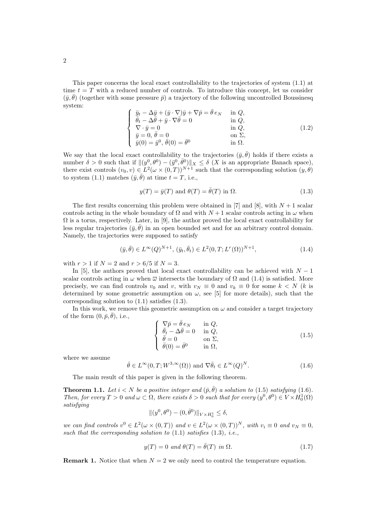This paper concerns the local exact controllability to the trajectories of system (1.1) at time  $t = T$  with a reduced number of controls. To introduce this concept, let us consider  $(\bar{y}, \bar{\theta})$  (together with some pressure  $\bar{p}$ ) a trajectory of the following uncontrolled Boussinesq system:

$$
\begin{cases}\n\bar{y}_t - \Delta \bar{y} + (\bar{y} \cdot \nabla) \bar{y} + \nabla \bar{p} = \bar{\theta} e_N & \text{in } Q, \\
\bar{\theta}_t - \Delta \bar{\theta} + \bar{y} \cdot \nabla \bar{\theta} = 0 & \text{in } Q, \\
\nabla \cdot \bar{y} = 0 & \text{in } Q, \\
\bar{y} = 0, \bar{\theta} = 0 & \text{on } \Sigma, \\
\bar{y}(0) = \bar{y}^0, \bar{\theta}(0) = \bar{\theta}^0 & \text{in } \Omega.\n\end{cases}
$$
\n(1.2)

We say that the local exact controllability to the trajectories  $(\bar{y}, \bar{\theta})$  holds if there exists a number  $\delta > 0$  such that if  $\|(y^0, \theta^0) - (\bar{y}^0, \bar{\theta}^0)\|_X \leq \delta \ (X \text{ is an appropriate Banach space}),$ there exist controls  $(v_0, v) \in L^2(\omega \times (0, T))^{N+1}$  such that the corresponding solution  $(y, \theta)$ to system (1.1) matches  $(\bar{y}, \bar{\theta})$  at time  $t = T$ , i.e.,

$$
y(T) = \bar{y}(T) \text{ and } \theta(T) = \bar{\theta}(T) \text{ in } \Omega.
$$
 (1.3)

The first results concerning this problem were obtained in [7] and [8], with  $N + 1$  scalar controls acting in the whole boundary of  $\Omega$  and with  $N+1$  scalar controls acting in  $\omega$  when  $\Omega$  is a torus, respectively. Later, in [9], the author proved the local exact controllability for less regular trajectories  $(\bar{y}, \bar{\theta})$  in an open bounded set and for an arbitrary control domain. Namely, the trajectories were supposed to satisfy

$$
(\bar{y}, \bar{\theta}) \in L^{\infty}(Q)^{N+1}, \ (\bar{y}_t, \bar{\theta}_t) \in L^2(0, T; L^r(\Omega))^{N+1}, \tag{1.4}
$$

with  $r > 1$  if  $N = 2$  and  $r > 6/5$  if  $N = 3$ .

In [5], the authors proved that local exact controllability can be achieved with  $N-1$ scalar controls acting in  $\omega$  when  $\overline{\omega}$  intersects the boundary of  $\Omega$  and (1.4) is satisfied. More precisely, we can find controls  $v_0$  and v, with  $v_N \equiv 0$  and  $v_k \equiv 0$  for some  $k < N$  (k is determined by some geometric assumption on  $\omega$ , see [5] for more details), such that the corresponding solution to (1.1) satisfies (1.3).

In this work, we remove this geometric assumption on  $\omega$  and consider a target trajectory of the form  $(0, \bar{p}, \bar{\theta}),$  i.e.,

$$
\begin{cases}\n\nabla \bar{p} = \bar{\theta} e_N & \text{in } Q, \\
\bar{\theta}_t - \Delta \bar{\theta} = 0 & \text{in } Q, \\
\bar{\theta} = 0 & \text{on } \Sigma, \\
\bar{\theta}(0) = \bar{\theta}^0 & \text{in } \Omega,\n\end{cases}
$$
\n(1.5)

where we assume

$$
\bar{\theta} \in L^{\infty}(0, T; W^{3,\infty}(\Omega)) \text{ and } \nabla \bar{\theta}_t \in L^{\infty}(Q)^N.
$$
 (1.6)

The main result of this paper is given in the following theorem.

**Theorem 1.1.** Let  $i < N$  be a positive integer and  $(\bar{p}, \bar{\theta})$  a solution to (1.5) satisfying (1.6). Then, for every  $T > 0$  and  $\omega \subset \Omega$ , there exists  $\delta > 0$  such that for every  $(y^0, \theta^0) \in V \times H_0^1(\Omega)$ satisfying

$$
\|(y^0, \theta^0) - (0, \bar{\theta}^0)\|_{V\times H^1_0} \le \delta,
$$

we can find controls  $v^0 \in L^2(\omega \times (0,T))$  and  $v \in L^2(\omega \times (0,T))^N$ , with  $v_i \equiv 0$  and  $v_N \equiv 0$ , such that the corresponding solution to  $(1.1)$  satisfies  $(1.3)$ , *i.e.*,

$$
y(T) = 0 \text{ and } \theta(T) = \bar{\theta}(T) \text{ in } \Omega. \tag{1.7}
$$

**Remark 1.** Notice that when  $N = 2$  we only need to control the temperature equation.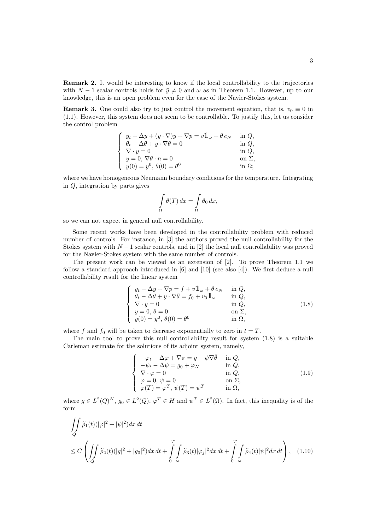Remark 2. It would be interesting to know if the local controllability to the trajectories with  $N-1$  scalar controls holds for  $\bar{y} \neq 0$  and  $\omega$  as in Theorem 1.1. However, up to our knowledge, this is an open problem even for the case of the Navier-Stokes system.

**Remark 3.** One could also try to just control the movement equation, that is,  $v_0 \equiv 0$  in (1.1). However, this system does not seem to be controllable. To justify this, let us consider the control problem

$$
\left\{\begin{array}{ll} y_t-\Delta y+(y\cdot\nabla)y+\nabla p=v1\hskip-3.5pt1_\omega+\theta\,e_N&\hskip.08in\hskip.08in{\rm in}\,Q,\\ \theta_t-\Delta\theta+y\cdot\nabla\theta=0&\hskip.08in{\rm in}\,Q,\\ \nabla\cdot y=0&\hskip.08in{\rm in}\,Q,\\ y=0,\,\nabla\theta\cdot n=0&\hskip.08in{\rm on}\,\,\Sigma,\\ y(0)=y^0,\,\theta(0)=\theta^0&\hskip.08in{\rm in}\,\,\Omega; \end{array}\right.
$$

where we have homogeneous Neumann boundary conditions for the temperature. Integrating in Q, integration by parts gives

$$
\int_{\Omega} \theta(T) dx = \int_{\Omega} \theta_0 dx,
$$

so we can not expect in general null controllability.

Some recent works have been developed in the controllability problem with reduced number of controls. For instance, in [3] the authors proved the null controllability for the Stokes system with  $N-1$  scalar controls, and in [2] the local null controllability was proved for the Navier-Stokes system with the same number of controls.

The present work can be viewed as an extension of [2]. To prove Theorem 1.1 we follow a standard approach introduced in [6] and [10] (see also [4]). We first deduce a null controllability result for the linear system

$$
\begin{cases}\n y_t - \Delta y + \nabla p = f + v \mathbb{1}_{\omega} + \theta e_N & \text{in } Q, \\
 \theta_t - \Delta \theta + y \cdot \nabla \bar{\theta} = f_0 + v_0 \mathbb{1}_{\omega} & \text{in } Q, \\
 \nabla \cdot y = 0 & \text{in } Q, \\
 y = 0, \ \theta = 0 & \text{on } \Sigma, \\
 y(0) = y^0, \ \theta(0) = \theta^0 & \text{in } \Omega,\n\end{cases}
$$
\n(1.8)

where f and  $f_0$  will be taken to decrease exponentially to zero in  $t = T$ .

The main tool to prove this null controllability result for system (1.8) is a suitable Carleman estimate for the solutions of its adjoint system, namely,

$$
\begin{cases}\n-\varphi_t - \Delta \varphi + \nabla \pi = g - \psi \nabla \bar{\theta} & \text{in } Q, \\
-\psi_t - \Delta \psi = g_0 + \varphi_N & \text{in } Q, \\
\nabla \cdot \varphi = 0 & \text{in } Q, \\
\varphi = 0, \psi = 0 & \text{on } \Sigma, \\
\varphi(T) = \varphi^T, \psi(T) = \psi^T & \text{in } \Omega,\n\end{cases}
$$
\n(1.9)

where  $g \in L^2(Q)^N$ ,  $g_0 \in L^2(Q)$ ,  $\varphi^T \in H$  and  $\psi^T \in L^2(\Omega)$ . In fact, this inequality is of the form

$$
\iint\limits_{Q} \widetilde{\rho}_1(t)(|\varphi|^2 + |\psi|^2) dx dt
$$
\n
$$
\leq C \left( \iint\limits_{Q} \widetilde{\rho}_2(t)(|g|^2 + |g_0|^2) dx dt + \int\limits_{0}^{T} \int\limits_{\omega} \widetilde{\rho}_3(t)|\varphi_j|^2 dx dt + \int\limits_{0}^{T} \int\limits_{\omega} \widetilde{\rho}_4(t)|\psi|^2 dx dt \right), \quad (1.10)
$$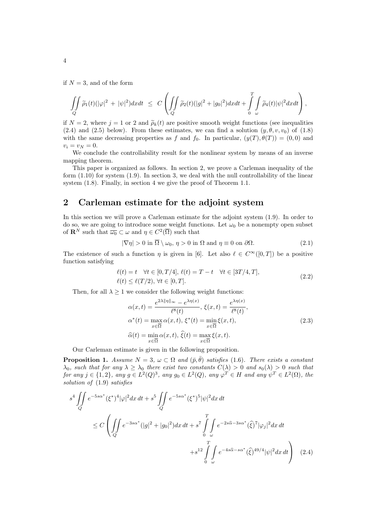if  $N = 3$ , and of the form

$$
\iint\limits_{Q}\widetilde{\rho}_1(t)(|\varphi|^2+|\psi|^2)dxdt\;\leq \;C\left(\iint\limits_{Q}\widetilde{\rho}_2(t)(|g|^2+|g_0|^2)dxdt+\int\limits_{0}^T\int\limits_{\omega}\widetilde{\rho}_4(t)|\psi|^2dxdt\right),
$$

if  $N = 2$ , where  $j = 1$  or 2 and  $\widetilde{\rho}_k(t)$  are positive smooth weight functions (see inequalities (2.4) and (2.5) below). From these estimates, we can find a solution  $(y, \theta, v, v_0)$  of (1.8) with the same decreasing properties as f and  $f_0$ . In particular,  $(y(T), \theta(T)) = (0, 0)$  and  $v_i = v_N = 0.$ 

We conclude the controllability result for the nonlinear system by means of an inverse mapping theorem.

This paper is organized as follows. In section 2, we prove a Carleman inequality of the form (1.10) for system (1.9). In section 3, we deal with the null controllability of the linear system (1.8). Finally, in section 4 we give the proof of Theorem 1.1.

## 2 Carleman estimate for the adjoint system

In this section we will prove a Carleman estimate for the adjoint system (1.9). In order to do so, we are going to introduce some weight functions. Let  $\omega_0$  be a nonempty open subset of  $\mathbf{R}^N$  such that  $\overline{\omega_0} \subset \omega$  and  $\eta \in C^2(\overline{\Omega})$  such that

$$
|\nabla \eta| > 0 \text{ in } \overline{\Omega} \setminus \omega_0, \eta > 0 \text{ in } \Omega \text{ and } \eta \equiv 0 \text{ on } \partial \Omega. \tag{2.1}
$$

The existence of such a function  $\eta$  is given in [6]. Let also  $\ell \in C^{\infty}([0, T])$  be a positive function satisfying

$$
\ell(t) = t \quad \forall t \in [0, T/4], \ \ell(t) = T - t \quad \forall t \in [3T/4, T],
$$
  

$$
\ell(t) \le \ell(T/2), \ \forall t \in [0, T].
$$
 (2.2)

Then, for all  $\lambda \geq 1$  we consider the following weight functions:

$$
\alpha(x,t) = \frac{e^{2\lambda \|\eta\|_{\infty}} - e^{\lambda \eta(x)}}{\ell^{8}(t)}, \xi(x,t) = \frac{e^{\lambda \eta(x)}}{\ell^{8}(t)},
$$
  
\n
$$
\alpha^{*}(t) = \max_{x \in \overline{\Omega}} \alpha(x,t), \xi^{*}(t) = \min_{x \in \overline{\Omega}} \xi(x,t),
$$
  
\n
$$
\widehat{\alpha}(t) = \min_{x \in \overline{\Omega}} \alpha(x,t), \widehat{\xi}(t) = \max_{x \in \overline{\Omega}} \xi(x,t).
$$
\n(2.3)

Our Carleman estimate is given in the following proposition.

**Proposition 1.** Assume  $N = 3$ ,  $\omega \subset \Omega$  and  $(\bar{p}, \bar{\theta})$  satisfies (1.6). There exists a constant  $\lambda_0$ , such that for any  $\lambda \geq \lambda_0$  there exist two constants  $C(\lambda) > 0$  and  $s_0(\lambda) > 0$  such that for any  $j \in \{1,2\}$ , any  $g \in L^2(Q)^3$ , any  $g_0 \in L^2(Q)$ , any  $\varphi^T \in H$  and any  $\psi^T \in L^2(\Omega)$ , the solution of (1.9) satisfies

$$
s^{4} \iint_{Q} e^{-5s\alpha^{*}} (\xi^{*})^{4} |\varphi|^{2} dx dt + s^{5} \iint_{Q} e^{-5s\alpha^{*}} (\xi^{*})^{5} |\psi|^{2} dx dt
$$
  

$$
\leq C \left( \iint_{Q} e^{-3s\alpha^{*}} (|g|^{2} + |g_{0}|^{2}) dx dt + s^{7} \int_{0}^{T} \int_{\omega} e^{-2s\widehat{\alpha} - 3s\alpha^{*}} (\widehat{\xi})^{7} |\varphi_{j}|^{2} dx dt + s^{12} \int_{0}^{T} \int_{\omega} e^{-4s\widehat{\alpha} - s\alpha^{*}} (\widehat{\xi})^{49/4} |\psi|^{2} dx dt \right) (2.4)
$$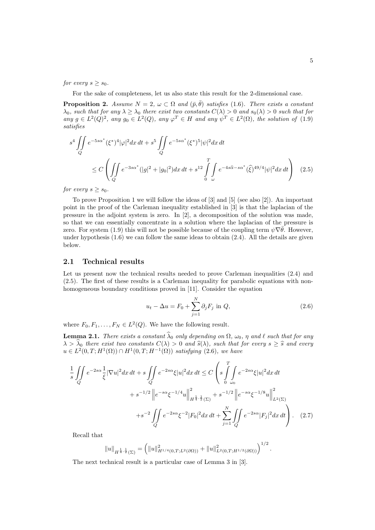for every  $s \geq s_0$ .

For the sake of completeness, let us also state this result for the 2-dimensional case.

**Proposition 2.** Assume  $N = 2$ ,  $\omega \subset \Omega$  and  $(\bar{p}, \bar{\theta})$  satisfies (1.6). There exists a constant  $\lambda_0$ , such that for any  $\lambda \geq \lambda_0$  there exist two constants  $C(\lambda) > 0$  and  $s_0(\lambda) > 0$  such that for any  $g \in L^2(Q)^2$ , any  $g_0 \in L^2(Q)$ , any  $\varphi^T \in H$  and any  $\psi^T \in L^2(\Omega)$ , the solution of (1.9) satisfies

$$
s^{4} \iint_{Q} e^{-5s\alpha^{*}} (\xi^{*})^{4} |\varphi|^{2} dx dt + s^{5} \iint_{Q} e^{-5s\alpha^{*}} (\xi^{*})^{5} |\psi|^{2} dx dt
$$
  

$$
\leq C \left( \iint_{Q} e^{-3s\alpha^{*}} (|g|^{2} + |g_{0}|^{2}) dx dt + s^{12} \int_{0}^{T} \int_{\omega} e^{-4s\widehat{\alpha} - s\alpha^{*}} (\widehat{\xi})^{49/4} |\psi|^{2} dx dt \right) (2.5)
$$

for every  $s > s_0$ .

To prove Proposition 1 we will follow the ideas of [3] and [5] (see also [2]). An important point in the proof of the Carleman inequality established in [3] is that the laplacian of the pressure in the adjoint system is zero. In [2], a decomposition of the solution was made, so that we can essentially concentrate in a solution where the laplacian of the pressure is zero. For system (1.9) this will not be possible because of the coupling term  $\psi \nabla \bar{\theta}$ . However, under hypothesis  $(1.6)$  we can follow the same ideas to obtain  $(2.4)$ . All the details are given below.

#### 2.1 Technical results

Let us present now the technical results needed to prove Carleman inequalities  $(2.4)$  and (2.5). The first of these results is a Carleman inequality for parabolic equations with nonhomogeneous boundary conditions proved in [11]. Consider the equation

$$
u_t - \Delta u = F_0 + \sum_{j=1}^{N} \partial_j F_j \text{ in } Q,
$$
\n(2.6)

where  $F_0, F_1, \ldots, F_N \in L^2(Q)$ . We have the following result.

**Lemma 2.1.** There exists a constant  $\widehat{\lambda}_0$  only depending on  $\Omega$ ,  $\omega_0$ ,  $\eta$  and  $\ell$  such that for any  $\lambda > \lambda_0$  there exist two constants  $C(\lambda) > 0$  and  $\hat{s}(\lambda)$ , such that for every  $s \geq \hat{s}$  and every  $u \in L^2(0,T;H^1(\Omega)) \cap H^1(0,T;H^{-1}(\Omega))$  satisfying (2.6), we have

$$
\frac{1}{s} \iint_{Q} e^{-2s\alpha} \frac{1}{\xi} |\nabla u|^{2} dx dt + s \iint_{Q} e^{-2s\alpha} \xi |u|^{2} dx dt \leq C \left( s \int_{0}^{T} \int_{\omega_{0}} e^{-2s\alpha} \xi |u|^{2} dx dt + s^{-1/2} \left\| e^{-s\alpha} \xi^{-1/4} u \right\|_{H^{\frac{1}{4}, \frac{1}{2}}(\Sigma)}^{2} + s^{-1/2} \left\| e^{-s\alpha} \xi^{-1/8} u \right\|_{L^{2}(\Sigma)}^{2} + s^{-2} \iint_{Q} e^{-2s\alpha} \xi^{-2} |F_{0}|^{2} dx dt + \sum_{j=1}^{N} \iint_{Q} e^{-2s\alpha} |F_{j}|^{2} dx dt \right). \tag{2.7}
$$

Recall that

$$
||u||_{H^{\frac{1}{4},\frac{1}{2}}(\Sigma)} = (||u||^2_{H^{1/4}(0,T;L^2(\partial\Omega))} + ||u||^2_{L^2(0,T;H^{1/2}(\partial\Omega))})^{1/2}.
$$

The next technical result is a particular case of Lemma 3 in [3].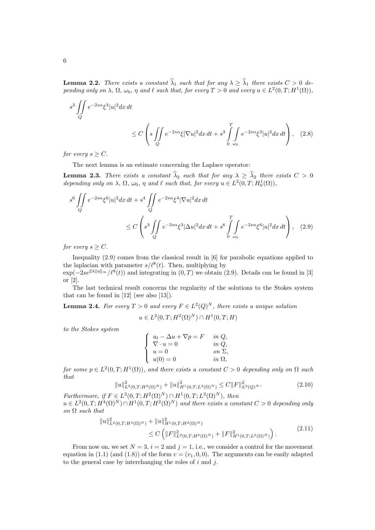**Lemma 2.2.** There exists a constant  $\widehat{\lambda}_1$  such that for any  $\lambda \geq \widehat{\lambda}_1$  there exists  $C > 0$  depending only on  $\lambda$ ,  $\Omega$ ,  $\omega_0$ ,  $\eta$  and  $\ell$  such that, for every  $T > 0$  and every  $u \in L^2(0,T;H^1(\Omega))$ ,

$$
s^3 \iint\limits_Q e^{-2s\alpha} \xi^3 |u|^2 dx dt
$$
  
 
$$
\leq C \left( s \iint\limits_Q e^{-2s\alpha} \xi |\nabla u|^2 dx dt + s^3 \int\limits_{0}^T \int\limits_{\omega_0} e^{-2s\alpha} \xi^3 |u|^2 dx dt \right), \quad (2.8)
$$

for every  $s \geq C$ .

The next lemma is an estimate concerning the Laplace operator:

**Lemma 2.3.** There exists a constant  $\widehat{\lambda}_2$  such that for any  $\lambda \geq \widehat{\lambda}_2$  there exists  $C > 0$ depending only on  $\lambda$ ,  $\Omega$ ,  $\omega_0$ ,  $\eta$  and  $\ell$  such that, for every  $u \in L^2(0,T; H_0^1(\Omega)),$ 

$$
s^{6} \iint_{Q} e^{-2s\alpha} \xi^{6} |u|^{2} dx dt + s^{4} \iint_{Q} e^{-2s\alpha} \xi^{4} |\nabla u|^{2} dx dt
$$
  

$$
\leq C \left( s^{3} \iint_{Q} e^{-2s\alpha} \xi^{3} |\Delta u|^{2} dx dt + s^{6} \int_{0}^{T} \int_{\omega_{0}} e^{-2s\alpha} \xi^{6} |u|^{2} dx dt \right), \quad (2.9)
$$

for every  $s \geq C$ .

Inequality (2.9) comes from the classical result in [6] for parabolic equations applied to the laplacian with parameter  $s/\ell^8(t)$ . Then, multiplying by  $\exp(-2se^{2\lambda\|\eta\|_{\infty}}/\ell^{8}(t))$  and integrating in  $(0,T)$  we obtain (2.9). Details can be found in [3]

or [2].

The last technical result concerns the regularity of the solutions to the Stokes system that can be found in [12] (see also [13]).

**Lemma 2.4.** For every  $T > 0$  and every  $F \in L^2(Q)^N$ , there exists a unique solution

$$
u \in L^2(0,T;H^2(\Omega)^N) \cap H^1(0,T;H)
$$

to the Stokes system

| $u_t - \Delta u + \nabla p = F$ | in $Q$ ,      |
|---------------------------------|---------------|
| $\nabla \cdot u = 0$            | in $Q$ ,      |
| $u=0$                           | on $\Sigma$ , |
| $u(0) = 0$                      | in $\Omega$ , |

for some  $p \in L^2(0,T;H^1(\Omega))$ , and there exists a constant  $C > 0$  depending only on  $\Omega$  such that

$$
||u||_{L^{2}(0,T;H^{2}(\Omega)^{N})}^{2} + ||u||_{H^{1}(0,T;L^{2}(\Omega)^{N})}^{2} \leq C||F||_{L^{2}(Q)^{N}}^{2}.
$$
\n(2.10)

Furthermore, if  $F \in L^2(0,T;H^2(\Omega)^N) \cap H^1(0,T;L^2(\Omega)^N)$ , then  $u \in L^2(0,T;H^4(\Omega)^N) \cap H^1(0,T;H^2(\Omega)^N)$  and there exists a constant  $C > 0$  depending only on  $\Omega$  such that

$$
\|u\|_{L^{2}(0,T;H^{4}(\Omega)^{N})}^{2} + \|u\|_{H^{1}(0,T;H^{2}(\Omega)^{N})}^{2} \leq C\left(\|F\|_{L^{2}(0,T;H^{2}(\Omega)^{N})}^{2} + \|F\|_{H^{1}(0,T;L^{2}(\Omega)^{N})}^{2}\right).
$$
\n(2.11)

From now on, we set  $N = 3$ ,  $i = 2$  and  $j = 1$ , i.e., we consider a control for the movement equation in (1.1) (and (1.8)) of the form  $v = (v_1, 0, 0)$ . The arguments can be easily adapted to the general case by interchanging the roles of  $i$  and  $j$ .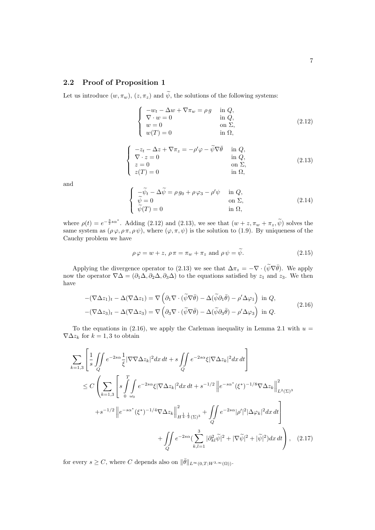#### 2.2 Proof of Proposition 1

Let us introduce  $(w, \pi_w)$ ,  $(z, \pi_z)$  and  $\widetilde{\psi}$ , the solutions of the following systems:

$$
\begin{cases}\n-w_t - \Delta w + \nabla \pi_w = \rho g & \text{in } Q, \\
\nabla \cdot w = 0 & \text{in } Q, \\
w = 0 & \text{on } \Sigma, \\
w(T) = 0 & \text{in } \Omega,\n\end{cases}
$$
\n(2.12)

$$
\begin{cases}\n-z_t - \Delta z + \nabla \pi_z = -\rho' \varphi - \widetilde{\psi} \nabla \bar{\theta} & \text{in } Q, \\
\nabla \cdot z = 0 & \text{in } Q, \\
z = 0 & \text{on } \Sigma, \\
z(T) = 0 & \text{in } \Omega,\n\end{cases}
$$
\n(2.13)

and

$$
\begin{cases}\n-\tilde{\psi}_t - \Delta \tilde{\psi} = \rho g_0 + \rho \varphi_3 - \rho' \psi & \text{in } Q, \\
\tilde{\psi} = 0 & \text{on } \Sigma, \\
\tilde{\psi}(T) = 0 & \text{in } \Omega,\n\end{cases}
$$
\n(2.14)

where  $\rho(t) = e^{-\frac{3}{2} s \alpha^*}$ . Adding (2.12) and (2.13), we see that  $(w + z, \pi_w + \pi_z, \widetilde{\psi})$  solves the same system as  $(\rho \varphi, \rho \pi, \rho \psi)$ , where  $(\varphi, \pi, \psi)$  is the solution to (1.9). By uniqueness of the Cauchy problem we have

$$
\rho \varphi = w + z, \, \rho \pi = \pi_w + \pi_z \text{ and } \rho \psi = \psi. \tag{2.15}
$$

Applying the divergence operator to (2.13) we see that  $\Delta \pi_z = -\nabla \cdot (\tilde{\psi} \nabla \bar{\theta})$ . We apply now the operator  $\nabla\Delta = (\partial_1\Delta, \partial_2\Delta, \partial_3\Delta)$  to the equations satisfied by  $z_1$  and  $z_3$ . We then have

$$
-(\nabla \Delta z_1)_t - \Delta(\nabla \Delta z_1) = \nabla \left( \partial_1 \nabla \cdot (\tilde{\psi} \nabla \bar{\theta}) - \Delta(\tilde{\psi} \partial_1 \bar{\theta}) - \rho' \Delta \varphi_1 \right) \text{ in } Q,
$$
  
 
$$
-(\nabla \Delta z_3)_t - \Delta(\nabla \Delta z_3) = \nabla \left( \partial_3 \nabla \cdot (\tilde{\psi} \nabla \bar{\theta}) - \Delta(\tilde{\psi} \partial_3 \bar{\theta}) - \rho' \Delta \varphi_3 \right) \text{ in } Q.
$$
 (2.16)

To the equations in (2.16), we apply the Carleman inequality in Lemma 2.1 with  $u =$  $\nabla \Delta z_k$  for  $k = 1, 3$  to obtain

$$
\sum_{k=1,3} \left[ \frac{1}{s} \iint_{Q} e^{-2s\alpha} \frac{1}{\xi} |\nabla \nabla \Delta z_{k}|^{2} dx dt + s \iint_{Q} e^{-2s\alpha} \xi |\nabla \Delta z_{k}|^{2} dx dt \right]
$$
  
\n
$$
\leq C \left( \sum_{k=1,3} \left[ s \int_{0}^{T} \int_{\omega_{0}} e^{-2s\alpha} \xi |\nabla \Delta z_{k}|^{2} dx dt + s^{-1/2} \left\| e^{-s\alpha^{*}} (\xi^{*})^{-1/8} \nabla \Delta z_{k} \right\|_{L^{2}(\Sigma)^{3}}^{2} + s^{-1/2} \left\| e^{-s\alpha^{*}} (\xi^{*})^{-1/4} \nabla \Delta z_{k} \right\|_{H^{\frac{1}{4},\frac{1}{2}}(\Sigma)^{3}}^{2} + \iint_{Q} e^{-2s\alpha} |\rho'|^{2} |\Delta \varphi_{k}|^{2} dx dt \right] + \iint_{Q} e^{-2s\alpha} (\sum_{k,l=1}^{3} |\partial_{kl}^{2} \tilde{\psi}|^{2} + |\nabla \tilde{\psi}|^{2} + |\tilde{\psi}|^{2}) dx dt \right), \quad (2.17)
$$

for every  $s \geq C$ , where C depends also on  $\|\bar{\theta}\|_{L^{\infty}(0,T;W^{3,\infty}(\Omega))}$ .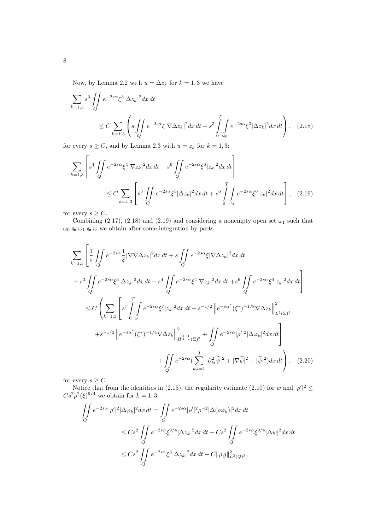Now, by Lemma 2.2 with  $u = \Delta z_k$  for  $k = 1, 3$  we have

$$
\sum_{k=1,3} s^3 \iint_{Q} e^{-2s\alpha} \xi^3 |\Delta z_k|^2 dx dt
$$
\n
$$
\leq C \sum_{k=1,3} \left( s \iint_{Q} e^{-2s\alpha} \xi |\nabla \Delta z_k|^2 dx dt + s^3 \int_{0}^{T} \int_{\omega_0} e^{-2s\alpha} \xi^3 |\Delta z_k|^2 dx dt \right), \quad (2.18)
$$

for every  $s \geq C$ , and by Lemma 2.3 with  $u = z_k$  for  $k = 1, 3$ :

$$
\sum_{k=1,3} \left[ s^4 \iint_Q e^{-2s\alpha} \xi^4 |\nabla z_k|^2 dx dt + s^6 \iint_Q e^{-2s\alpha} \xi^6 |z_k|^2 dx dt \right]
$$
  

$$
\leq C \sum_{k=1,3} \left[ s^3 \iint_Q e^{-2s\alpha} \xi^3 |\Delta z_k|^2 dx dt + s^6 \int_0^T \int_{\omega_0} e^{-2s\alpha} \xi^6 |z_k|^2 dx dt \right], \quad (2.19)
$$

for every  $s \geq C$ .

Combining (2.17), (2.18) and (2.19) and considering a nonempty open set  $\omega_1$  such that  $\omega_0 \Subset \omega_1 \Subset \omega$  we obtain after some integration by parts

$$
\sum_{k=1,3} \left[ \frac{1}{s} \iint_{Q} e^{-2s\alpha} \frac{1}{\xi} |\nabla \nabla \Delta z_{k}|^{2} dx dt + s \iint_{Q} e^{-2s\alpha} \xi |\nabla \Delta z_{k}|^{2} dx dt \right. \\
\left. + s^{3} \iint_{Q} e^{-2s\alpha} \xi^{3} |\Delta z_{k}|^{2} dx dt + s^{4} \iint_{Q} e^{-2s\alpha} \xi^{4} |\nabla z_{k}|^{2} dx dt + s^{6} \iint_{Q} e^{-2s\alpha} \xi^{6} |z_{k}|^{2} dx dt \right] \\
\leq C \left( \sum_{k=1,3} \left[ s^{7} \int_{0}^{T} \int_{\omega_{1}} e^{-2s\alpha} \xi^{7} |z_{k}|^{2} dx dt + s^{-1/2} \left\| e^{-s\alpha^{*}} (\xi^{*})^{-1/8} \nabla \Delta z_{k} \right\|_{L^{2}(\Sigma)^{3}}^{2} \right. \\
\left. + s^{-1/2} \left\| e^{-s\alpha^{*}} (\xi^{*})^{-1/4} \nabla \Delta z_{k} \right\|_{H^{\frac{1}{4},\frac{1}{2}}(\Sigma)^{3}}^{2} + \iint_{Q} e^{-2s\alpha} |\rho'|^{2} |\Delta \varphi_{k}|^{2} dx dt \right] \\
\left. + \iint_{Q} e^{-2s\alpha} (\sum_{k,l=1}^{3} |\partial_{kl}^{2} \widetilde{\psi}|^{2} + |\nabla \widetilde{\psi}|^{2} + |\widetilde{\psi}|^{2}) dx dt \right), \quad (2.20)
$$

for every  $s \geq C$ .

Notice that from the identities in (2.15), the regularity estimate (2.10) for w and  $|\rho'|^2 \leq$  $Cs^2\rho^2(\xi)^{9/4}$  we obtain for  $k=1,3$ 

$$
\iint\limits_{Q} e^{-2s\alpha} |\rho'|^2 |\Delta \varphi_k|^2 dx dt = \iint\limits_{Q} e^{-2s\alpha} |\rho'|^2 \rho^{-2} |\Delta(\rho \varphi_k)|^2 dx dt
$$
  

$$
\leq Cs^2 \iint\limits_{Q} e^{-2s\alpha} \xi^{9/4} |\Delta z_k|^2 dx dt + Cs^2 \iint\limits_{Q} e^{-2s\alpha} \xi^{9/4} |\Delta w|^2 dx dt
$$
  

$$
\leq Cs^2 \iint\limits_{Q} e^{-2s\alpha} \xi^3 |\Delta z_k|^2 dx dt + C ||\rho g||^2_{L^2(Q)^3},
$$

8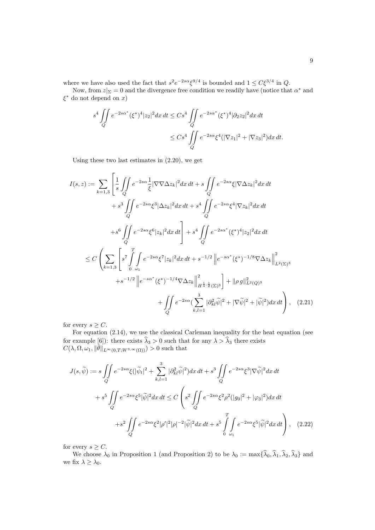where we have also used the fact that  $s^2 e^{-2s\alpha} \xi^{9/4}$  is bounded and  $1 \leq C \xi^{3/4}$  in Q.

Now, from  $z|_{\Sigma} = 0$  and the divergence free condition we readily have (notice that  $\alpha^*$  and  $\xi^*$  do not depend on x)

$$
s^4 \iint\limits_{Q} e^{-2s\alpha^*} (\xi^*)^4 |z_2|^2 dx dt \leq Cs^4 \iint\limits_{Q} e^{-2s\alpha^*} (\xi^*)^4 |\partial_2 z_2|^2 dx dt
$$
  

$$
\leq Cs^4 \iint\limits_{Q} e^{-2s\alpha} \xi^4 (|\nabla z_1|^2 + |\nabla z_3|^2) dx dt.
$$

Using these two last estimates in (2.20), we get

$$
I(s, z) := \sum_{k=1,3} \left[ \frac{1}{s} \iint_{Q} e^{-2s\alpha} \frac{1}{\xi} |\nabla \nabla \Delta z_{k}|^{2} dx dt + s \iint_{Q} e^{-2s\alpha} \xi |\nabla \Delta z_{k}|^{2} dx dt + s^{3} \iint_{Q} e^{-2s\alpha} \xi^{3} |\Delta z_{k}|^{2} dx dt + s^{4} \iint_{Q} e^{-2s\alpha} \xi^{4} |\nabla z_{k}|^{2} dx dt + s^{6} \iint_{Q} e^{-2s\alpha} \xi^{6} |z_{k}|^{2} dx dt + s^{6} \iint_{Q} e^{-2s\alpha} \xi^{6} |z_{k}|^{2} dx dt + s^{4} \iint_{Q} e^{-2s\alpha^{*}} (\xi^{*})^{4} |z_{2}|^{2} dx dt
$$
  

$$
\leq C \left( \sum_{k=1,3} \left[ s^{7} \int_{0}^{T} \int_{\omega_{1}} e^{-2s\alpha} \xi^{7} |z_{k}|^{2} dx dt + s^{-1/2} \left\| e^{-s\alpha^{*}} (\xi^{*})^{-1/8} \nabla \Delta z_{k} \right\|_{L^{2}(\Sigma)^{3}}^{2} + s^{-1/2} \left\| e^{-s\alpha^{*}} (\xi^{*})^{-1/4} \nabla \Delta z_{k} \right\|_{H^{\frac{1}{4}, \frac{1}{2}}(\Sigma)^{3}}^{2} \right] + ||\rho g||^{2}_{L^{2}(Q)^{3}} + \iint_{Q} e^{-2s\alpha} (\sum_{k,l=1}^{3} |\partial_{kl}^{2} \tilde{\psi}|^{2} + |\nabla \tilde{\psi}|^{2} + |\tilde{\psi}|^{2}) dx dt \right), \quad (2.21)
$$

for every  $s \geq C$ .

For equation (2.14), we use the classical Carleman inequality for the heat equation (see for example [6]): there exists  $\hat{\lambda}_3 > 0$  such that for any  $\lambda > \hat{\lambda}_3$  there exists  $C(\lambda, \Omega, \omega_1, \|\bar{\theta}\|_{L^{\infty}(0,T;W^{3,\infty}(\Omega))}) > 0$  such that

$$
J(s,\widetilde{\psi}) := s \iint_{Q} e^{-2s\alpha} \xi(|\widetilde{\psi}_{t}|^{2} + \sum_{k,l=1}^{3} |\partial_{kl}^{2} \widetilde{\psi}|^{2}) dx dt + s^{3} \iint_{Q} e^{-2s\alpha} \xi^{3} |\nabla \widetilde{\psi}|^{2} dx dt
$$
  
+  $s^{5} \iint_{Q} e^{-2s\alpha} \xi^{5} |\widetilde{\psi}|^{2} dx dt \le C \left( s^{2} \iint_{Q} e^{-2s\alpha} \xi^{2} \rho^{2} (|g_{0}|^{2} + |\varphi_{3}|^{2}) dx dt$   
+  $s^{2} \iint_{Q} e^{-2s\alpha} \xi^{2} |\rho'|^{2} |\rho|^{-2} |\widetilde{\psi}|^{2} dx dt + s^{5} \iint_{Q} e^{-2s\alpha} \xi^{5} |\widetilde{\psi}|^{2} dx dt \right),$  (2.22)

for every  $s \geq C$ .

We choose  $\lambda_0$  in Proposition 1 (and Proposition 2) to be  $\lambda_0 := \max{\{\hat{\lambda}_0, \hat{\lambda}_1, \hat{\lambda}_2, \hat{\lambda}_3\}}$  and we fix  $\lambda \geq \lambda_0$ .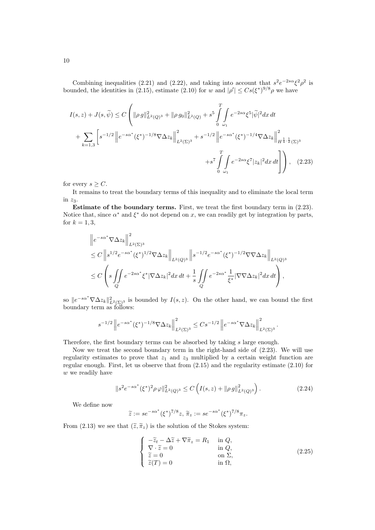Combining inequalities (2.21) and (2.22), and taking into account that  $s^2e^{-2s\alpha}\xi^2\rho^2$  is bounded, the identities in (2.15), estimate (2.10) for w and  $|\rho'| \leq Cs({\xi^*})^{9/8} \rho$  we have

$$
I(s,z) + J(s,\tilde{\psi}) \le C \left( \|\rho g\|_{L^2(Q)^3}^2 + \|\rho g_0\|_{L^2(Q)}^2 + s^5 \int_0^T \int_{\omega_1} e^{-2s\alpha} \xi^5 |\tilde{\psi}|^2 dx dt + \sum_{k=1,3} \left[ s^{-1/2} \left\| e^{-s\alpha^*} (\xi^*)^{-1/8} \nabla \Delta z_k \right\|_{L^2(\Sigma)^3}^2 + s^{-1/2} \left\| e^{-s\alpha^*} (\xi^*)^{-1/4} \nabla \Delta z_k \right\|_{H^{\frac{1}{4},\frac{1}{2}}(\Sigma)^3}^2 + s^7 \int_0^T \int_{\omega_1} e^{-2s\alpha} \xi^7 |z_k|^2 dx dt \right] \right), \quad (2.23)
$$

for every  $s \geq C$ .

It remains to treat the boundary terms of this inequality and to eliminate the local term in  $z_3$ .

Estimate of the boundary terms. First, we treat the first boundary term in (2.23). Notice that, since  $\alpha^*$  and  $\xi^*$  do not depend on x, we can readily get by integration by parts, for  $k = 1, 3$ ,

$$
\|e^{-s\alpha^*}\nabla\Delta z_k\|_{L^2(\Sigma)^3}^2
$$
  
\n
$$
\leq C\|s^{1/2}e^{-s\alpha^*}(\xi^*)^{1/2}\nabla\Delta z_k\|_{L^2(Q)^3}\|s^{-1/2}e^{-s\alpha^*}(\xi^*)^{-1/2}\nabla\nabla\Delta z_k\|_{L^2(Q)^3}
$$
  
\n
$$
\leq C\left(s\iint\limits_{Q}e^{-2s\alpha^*}\xi^*|\nabla\Delta z_k|^2dx\,dt + \frac{1}{s}\iint\limits_{Q}e^{-2s\alpha^*}\frac{1}{\xi^*}|\nabla\nabla\Delta z_k|^2dx\,dt\right),
$$

so  $||e^{-s\alpha^*}\nabla\Delta z_k||^2_{L^2(\Sigma)^3}$  is bounded by  $I(s, z)$ . On the other hand, we can bound the first boundary term as follows:

$$
s^{-1/2} \left\| e^{-s\alpha^*} (\xi^*)^{-1/8} \nabla \Delta z_k \right\|_{L^2(\Sigma)^3}^2 \leq C s^{-1/2} \left\| e^{-s\alpha^*} \nabla \Delta z_k \right\|_{L^2(\Sigma)^3}^2.
$$

Therefore, the first boundary terms can be absorbed by taking s large enough.

Now we treat the second boundary term in the right-hand side of (2.23). We will use regularity estimates to prove that  $z_1$  and  $z_3$  multiplied by a certain weight function are regular enough. First, let us observe that from (2.15) and the regularity estimate (2.10) for w we readily have

$$
||s^{2}e^{-s\alpha^{*}}(\xi^{*})^{2}\rho\,\varphi||_{L^{2}(Q)^{3}}^{2} \leq C\left(I(s,z)+||\rho\,g||_{L^{2}(Q)^{3}}^{2}\right). \tag{2.24}
$$

We define now

$$
\tilde{z} := se^{-s\alpha^*} (\xi^*)^{7/8} z, \tilde{\pi}_z := se^{-s\alpha^*} (\xi^*)^{7/8} \pi_z.
$$

From (2.13) we see that  $(\tilde{z}, \tilde{\pi}_z)$  is the solution of the Stokes system:

$$
\begin{cases}\n-\tilde{z}_t - \Delta \tilde{z} + \nabla \tilde{\pi}_z = R_1 & \text{in } Q, \\
\nabla \cdot \tilde{z} = 0 & \text{in } Q, \\
\tilde{z} = 0 & \text{on } \Sigma, \\
\tilde{z}(T) = 0 & \text{in } \Omega,\n\end{cases}
$$
\n(2.25)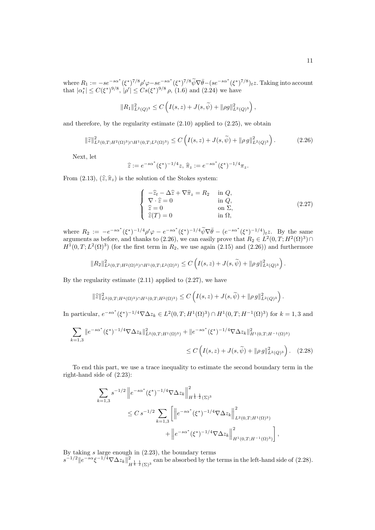where  $R_1 := -se^{-s\alpha^*}(\xi^*)^{7/8} \rho' \varphi - se^{-s\alpha^*}(\xi^*)^{7/8} \widetilde{\psi} \nabla \overline{\theta} - (se^{-s\alpha^*}(\xi^*)^{7/8})_{t} z$ . Taking into account that  $|\alpha_t^*| \le C(\xi^*)^{9/8}, |\rho'| \le Cs(\xi^*)^{9/8} \rho$ , (1.6) and (2.24) we have

$$
||R_1||_{L^2(Q)^3}^2 \leq C \left( I(s, z) + J(s, \widetilde{\psi}) + ||\rho g||_{L^2(Q)^3}^2 \right),
$$

and therefore, by the regularity estimate (2.10) applied to (2.25), we obtain

$$
\|\tilde{z}\|_{L^2(0,T;H^2(\Omega)^3)\cap H^1(0,T;L^2(\Omega)^3)}^2 \le C\left(I(s,z)+J(s,\widetilde{\psi})+\|\rho g\|_{L^2(Q)^3}^2\right). \tag{2.26}
$$

Next, let

$$
\hat{z} := e^{-s\alpha^*} (\xi^*)^{-1/4} z, \, \hat{\pi}_z := e^{-s\alpha^*} (\xi^*)^{-1/4} \pi_z.
$$

From (2.13),  $(\hat{z}, \hat{\pi}_z)$  is the solution of the Stokes system:

$$
\begin{cases}\n-\hat{z}_t - \Delta \hat{z} + \nabla \hat{\pi}_z = R_2 & \text{in } Q, \\
\nabla \cdot \hat{z} = 0 & \text{in } Q, \\
\hat{z} = 0 & \text{on } \Sigma, \\
\hat{z}(T) = 0 & \text{in } \Omega,\n\end{cases}
$$
\n(2.27)

where  $R_2 := -e^{-s\alpha^*} (\xi^*)^{-1/4} \rho' \varphi - e^{-s\alpha^*} (\xi^*)^{-1/4} \widetilde{\psi} \nabla \overline{\theta} - (e^{-s\alpha^*} (\xi^*)^{-1/4})_{t,z}$ . By the same arguments as before, and thanks to (2.26), we can easily prove that  $R_2 \in L^2(0,T;H^2(\Omega)^3) \cap$  $H^1(0,T;L^2(\Omega)^3)$  (for the first term in  $R_2$ , we use again (2.15) and (2.26)) and furthermore

$$
||R_2||_{L^2(0,T;H^2(\Omega)^3)\cap H^1(0,T;L^2(\Omega)^3)}^2 \leq C \left( I(s,z) + J(s,\widetilde{\psi}) + ||\rho g||_{L^2(Q)^3}^2 \right).
$$

By the regularity estimate  $(2.11)$  applied to  $(2.27)$ , we have

$$
\|\widehat{z}\|_{L^2(0,T;H^4(\Omega)^3)\cap H^1(0,T;H^2(\Omega)^3)}^2 \leq C\left(I(s,z)+J(s,\widetilde{\psi})+\|\rho\,g\|_{L^2(Q)^3}^2\right).
$$

In particular,  $e^{-s\alpha^*}(\xi^*)^{-1/4}\nabla\Delta z_k \in L^2(0,T;H^1(\Omega)^3) \cap H^1(0,T;H^{-1}(\Omega)^3)$  for  $k=1,3$  and

$$
\sum_{k=1,3} \|e^{-s\alpha^*}(\xi^*)^{-1/4}\nabla\Delta z_k\|_{L^2(0,T;H^1(\Omega)^3)}^2 + \|e^{-s\alpha^*}(\xi^*)^{-1/4}\nabla\Delta z_k\|_{H^1(0,T;H^{-1}(\Omega)^3)}^2
$$
  

$$
\leq C\left(I(s,z) + J(s,\widetilde{\psi}) + \|\rho g\|_{L^2(Q)^3}^2\right). \tag{2.28}
$$

To end this part, we use a trace inequality to estimate the second boundary term in the right-hand side of (2.23):

$$
\sum_{k=1,3} s^{-1/2} \left\| e^{-s\alpha^*} (\xi^*)^{-1/4} \nabla \Delta z_k \right\|_{H^{\frac{1}{4},\frac{1}{2}}(\Sigma)^3}^2
$$
\n
$$
\leq C \, s^{-1/2} \sum_{k=1,3} \left[ \left\| e^{-s\alpha^*} (\xi^*)^{-1/4} \nabla \Delta z_k \right\|_{L^2(0,T;H^1(\Omega)^3)}^2 + \left\| e^{-s\alpha^*} (\xi^*)^{-1/4} \nabla \Delta z_k \right\|_{H^1(0,T;H^{-1}(\Omega)^3)}^2 \right],
$$

By taking s large enough in (2.23), the boundary terms

 $s^{-1/2}$ || $e^{-s\alpha} \xi^{-1/4} \nabla \Delta z_k$ ||<sup>2</sup>  $\frac{2}{H^{\frac{1}{4},\frac{1}{2}}(\Sigma)^3}$  can be absorbed by the terms in the left-hand side of (2.28).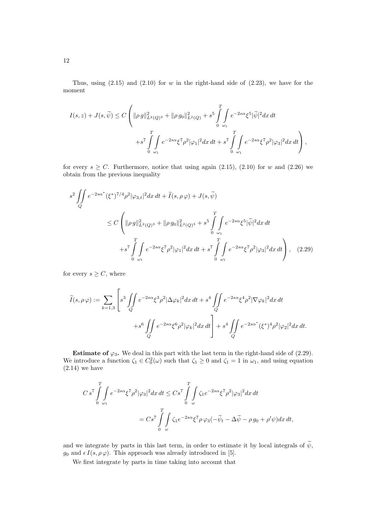Thus, using  $(2.15)$  and  $(2.10)$  for w in the right-hand side of  $(2.23)$ , we have for the moment

$$
I(s, z) + J(s, \widetilde{\psi}) \le C \left( \|\rho g\|_{L^2(Q)^3}^2 + \|\rho g_0\|_{L^2(Q)}^2 + s^5 \int_0^T \int_{\omega_1} e^{-2s\alpha} \xi^5 |\widetilde{\psi}|^2 dx dt + s^7 \int_0^T \int_{\omega_1} e^{-2s\alpha} \xi^7 \rho^2 |\varphi_1|^2 dx dt + s^7 \int_0^T \int_{\omega_1} e^{-2s\alpha} \xi^7 \rho^2 |\varphi_3|^2 dx dt \right),
$$

for every  $s \geq C$ . Furthermore, notice that using again (2.15), (2.10) for w and (2.26) we obtain from the previous inequality

$$
s^{2} \iint_{Q} e^{-2s\alpha^{*}} (\xi^{*})^{7/4} \rho^{2} |\varphi_{3,t}|^{2} dx dt + \widetilde{I}(s, \rho \varphi) + J(s, \widetilde{\psi})
$$
  

$$
\leq C \left( ||\rho g||^{2}_{L^{2}(Q)^{3}} + ||\rho g_{0}||^{2}_{L^{2}(Q)^{3}} + s^{5} \int_{0}^{T} \int_{\omega_{1}} e^{-2s\alpha} \xi^{5} |\widetilde{\psi}|^{2} dx dt + s^{7} \int_{0}^{T} \int_{\omega_{1}} e^{-2s\alpha} \xi^{7} \rho^{2} |\varphi_{1}|^{2} dx dt + s^{7} \int_{0}^{T} \int_{\omega_{1}} e^{-2s\alpha} \xi^{7} \rho^{2} |\varphi_{3}|^{2} dx dt \right), \quad (2.29)
$$

for every  $s \geq C$ , where

$$
\widetilde{I}(s,\rho\,\varphi) := \sum_{k=1,3} \left[ s^3 \iint_Q e^{-2s\alpha} \xi^3 \rho^2 |\Delta\varphi_k|^2 dx \, dt + s^4 \iint_Q e^{-2s\alpha} \xi^4 \rho^2 |\nabla\varphi_k|^2 dx \, dt + s^6 \iint_Q e^{-2s\alpha} \xi^6 \rho^2 |\varphi_k|^2 dx \, dt \right] + s^4 \iint_Q e^{-2s\alpha^*} (\xi^*)^4 \rho^2 |\varphi_2|^2 dx \, dt.
$$

**Estimate of**  $\varphi_3$ . We deal in this part with the last term in the right-hand side of (2.29). We introduce a function  $\zeta_1 \in C_0^2(\omega)$  such that  $\zeta_1 \ge 0$  and  $\zeta_1 = 1$  in  $\omega_1$ , and using equation  $(2.14)$  we have

$$
C s^7 \int_0^T \int e^{-2s\alpha} \xi^7 \rho^2 |\varphi_3|^2 dx dt \leq C s^7 \int_0^T \int_{\omega} \zeta_1 e^{-2s\alpha} \xi^7 \rho^2 |\varphi_3|^2 dx dt
$$
  
=  $C s^7 \int_0^T \int_{\omega} \zeta_1 e^{-2s\alpha} \xi^7 \rho \varphi_3 (-\tilde{\psi}_t - \Delta \tilde{\psi} - \rho g_0 + \rho' \psi) dx dt$ ,

and we integrate by parts in this last term, in order to estimate it by local integrals of  $\widetilde{\psi}$ ,  $g_0$  and  $\epsilon I(s, \rho \varphi)$ . This approach was already introduced in [5].

We first integrate by parts in time taking into account that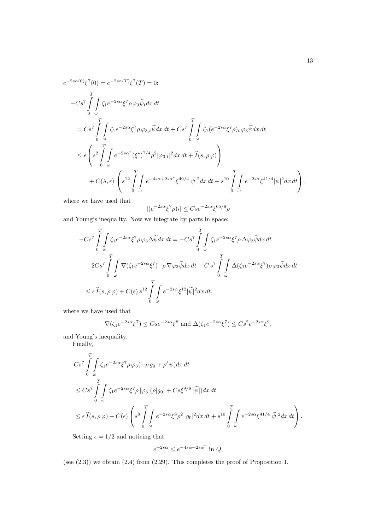$$
e^{-2s\alpha(0)}\xi^{7}(0) = e^{-2s\alpha(T)}\xi^{7}(T) = 0:
$$
  
\n
$$
-Cs^{7} \int_{0}^{T} \int_{\omega} \zeta_{1}e^{-2s\alpha}\xi^{7}\rho\varphi_{3}\widetilde{\psi}_{t}dx dt
$$
  
\n
$$
= Cs^{7} \int_{0}^{T} \int_{\omega} \zeta_{1}e^{-2s\alpha}\xi^{7}\rho\varphi_{3,t}\widetilde{\psi}dx dt + Cs^{7} \int_{0}^{T} \int_{\omega} \zeta_{1}(e^{-2s\alpha}\xi^{7}\rho)_{t}\varphi_{3}\widetilde{\psi}dx dt
$$
  
\n
$$
\leq \epsilon \left(s^{2} \int_{0}^{T} \int_{\omega} e^{-2s\alpha^{*}}(\xi^{*})^{7/4}\rho^{2}|\varphi_{3,t}|^{2}dx dt + \widetilde{I}(s,\rho\varphi)\right)
$$
  
\n
$$
+ C(\lambda, \epsilon) \left(s^{12} \int_{0}^{T} \int_{\omega} e^{-4s\alpha+2s\alpha^{*}}\xi^{49/4}|\widetilde{\psi}|^{2}dx dt + s^{10} \int_{0}^{T} \int_{\omega} e^{-2s\alpha}\xi^{41/4}|\widetilde{\psi}|^{2}dx dt\right),
$$

where we have used that

$$
|(e^{-2s\alpha}\xi^7\rho)_t| \leq Cse^{-2s\alpha}\xi^{65/8}\rho
$$

and Young's inequality. Now we integrate by parts in space:

$$
-Cs^{7} \int_{0}^{T} \int_{\omega} \zeta_{1} e^{-2s\alpha} \xi^{7} \rho \varphi_{3} \Delta \widetilde{\psi} dx dt = -Cs^{7} \int_{0}^{T} \int_{\omega} \zeta_{1} e^{-2s\alpha} \xi^{7} \rho \Delta \varphi_{3} \widetilde{\psi} dx dt
$$
  

$$
-2Cs^{7} \int_{0}^{T} \int_{\omega} \nabla (\zeta_{1} e^{-2s\alpha} \xi^{7}) \cdot \rho \nabla \varphi_{3} \widetilde{\psi} dx dt - Cs^{7} \int_{0}^{T} \int_{\omega} \Delta (\zeta_{1} e^{-2s\alpha} \xi^{7}) \rho \varphi_{3} \widetilde{\psi} dx dt
$$
  

$$
\leq \epsilon \widetilde{I}(s, \rho \varphi) + C(\epsilon) s^{12} \int_{0}^{T} \int_{\omega} e^{-2s\alpha} \xi^{12} |\widetilde{\psi}|^{2} dx dt,
$$

where we have used that

$$
\nabla(\zeta_1 e^{-2s\alpha} \xi^7) \le Cse^{-2s\alpha} \xi^8 \text{ and } \Delta(\zeta_1 e^{-2s\alpha} \xi^7) \le Cs^2 e^{-2s\alpha} \xi^9,
$$

and Young's inequality.

Finally,

$$
Cs^7 \int_{0}^{T} \int_{\omega} \zeta_1 e^{-2s\alpha} \xi^7 \rho \varphi_3(-\rho g_0 + \rho' \psi) dx dt
$$
  
\n
$$
\leq Cs^7 \int_{0}^{T} \int_{\omega} \zeta_1 e^{-2s\alpha} \xi^7 \rho |\varphi_3| (\rho |g_0| + Cs\xi^{9/8} |\tilde{\psi}|) dx dt
$$
  
\n
$$
\leq \epsilon \widetilde{I}(s, \rho \varphi) + C(\epsilon) \left( s^8 \int_{0}^{T} \int_{\omega} e^{-2s\alpha} \xi^8 \rho^2 |g_0|^2 dx dt + s^{10} \int_{0}^{T} \int_{\omega} e^{-2s\alpha} \xi^{41/4} |\tilde{\psi}|^2 dx dt \right).
$$

Setting  $\epsilon = 1/2$  and noticing that

$$
e^{-2s\alpha} \le e^{-4s\alpha + 2s\alpha^*} \text{ in } Q,
$$

(see (2.3)) we obtain (2.4) from (2.29). This completes the proof of Proposition 1.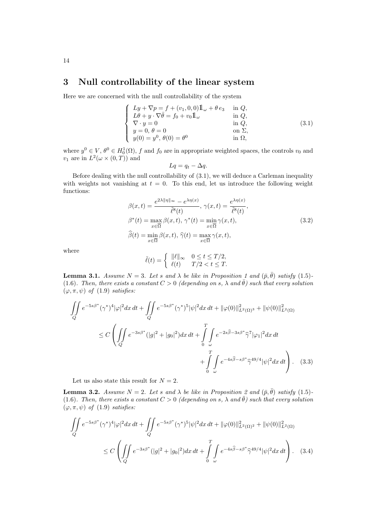# 3 Null controllability of the linear system

Here we are concerned with the null controllability of the system

$$
\begin{cases}\nLy + \nabla p = f + (v_1, 0, 0) \mathbb{1}_{\omega} + \theta e_3 & \text{in } Q, \\
L\theta + y \cdot \nabla \bar{\theta} = f_0 + v_0 \mathbb{1}_{\omega} & \text{in } Q, \\
\nabla \cdot y = 0 & \text{in } Q, \\
y = 0, \ \theta = 0 & \text{on } \Sigma, \\
y(0) = y^0, \ \theta(0) = \theta^0 & \text{in } \Omega,\n\end{cases}
$$
\n(3.1)

where  $y^0 \in V$ ,  $\theta^0 \in H_0^1(\Omega)$ , f and  $f_0$  are in appropriate weighted spaces, the controls  $v_0$  and  $v_1$  are in  $L^2(\omega \times (0,T))$  and

$$
Lq = q_t - \Delta q.
$$

Before dealing with the null controllability of (3.1), we will deduce a Carleman inequality with weights not vanishing at  $t = 0$ . To this end, let us introduce the following weight functions:

$$
\beta(x,t) = \frac{e^{2\lambda \|\eta\|_{\infty}} - e^{\lambda \eta(x)}}{\tilde{\ell}^8(t)}, \ \gamma(x,t) = \frac{e^{\lambda \eta(x)}}{\tilde{\ell}^8(t)},
$$

$$
\beta^*(t) = \max_{x \in \overline{\Omega}} \beta(x,t), \ \gamma^*(t) = \min_{x \in \overline{\Omega}} \gamma(x,t),
$$

$$
\widehat{\beta}(t) = \min_{x \in \overline{\Omega}} \beta(x,t), \ \widehat{\gamma}(t) = \max_{x \in \overline{\Omega}} \gamma(x,t),
$$
\n(3.2)

where

$$
\tilde{\ell}(t) = \begin{cases} \|\ell\|_{\infty} & 0 \le t \le T/2, \\ \ell(t) & T/2 < t \le T. \end{cases}
$$

**Lemma 3.1.** Assume  $N = 3$ . Let s and  $\lambda$  be like in Proposition 1 and  $(\bar{p}, \bar{\theta})$  satisfy (1.5)-(1.6). Then, there exists a constant  $C > 0$  (depending on s,  $\lambda$  and  $\bar{\theta}$ ) such that every solution  $(\varphi, \pi, \psi)$  of  $(1.9)$  satisfies:

$$
\iint_{Q} e^{-5s\beta^*} (\gamma^*)^4 |\varphi|^2 dx \, dt + \iint_{Q} e^{-5s\beta^*} (\gamma^*)^5 |\psi|^2 dx \, dt + ||\varphi(0)||_{L^2(\Omega)^3}^2 + ||\psi(0)||_{L^2(\Omega)}^2
$$
\n
$$
\leq C \left( \iint_{Q} e^{-3s\beta^*} (|g|^2 + |g_0|^2) dx \, dt + \int_{0}^{T} \int_{\omega} e^{-2s\widehat{\beta} - 3s\beta^*} \widehat{\gamma}^7 |\varphi_1|^2 dx \, dt + \int_{0}^{T} \int_{\omega} e^{-4s\widehat{\beta} - s\beta^*} \widehat{\gamma}^{49/4} |\psi|^2 dx \, dt \right). \tag{3.3}
$$

Let us also state this result for  $N = 2$ .

**Lemma 3.2.** Assume  $N = 2$ . Let s and  $\lambda$  be like in Proposition 2 and  $(\bar{p}, \bar{\theta})$  satisfy (1.5)-(1.6). Then, there exists a constant  $C > 0$  (depending on s,  $\lambda$  and  $\bar{\theta}$ ) such that every solution  $(\varphi, \pi, \psi)$  of (1.9) satisfies:

$$
\iint_{Q} e^{-5s\beta^{*}} (\gamma^{*})^{4} |\varphi|^{2} dx dt + \iint_{Q} e^{-5s\beta^{*}} (\gamma^{*})^{5} |\psi|^{2} dx dt + ||\varphi(0)||_{L^{2}(\Omega)^{2}}^{2} + ||\psi(0)||_{L^{2}(\Omega)}^{2}
$$
  

$$
\leq C \left( \iint_{Q} e^{-3s\beta^{*}} (|g|^{2} + |g_{0}|^{2}) dx dt + \int_{0}^{T} \int_{\omega} e^{-4s\widehat{\beta} - s\beta^{*}} \widehat{\gamma}^{49/4} |\psi|^{2} dx dt \right). \quad (3.4)
$$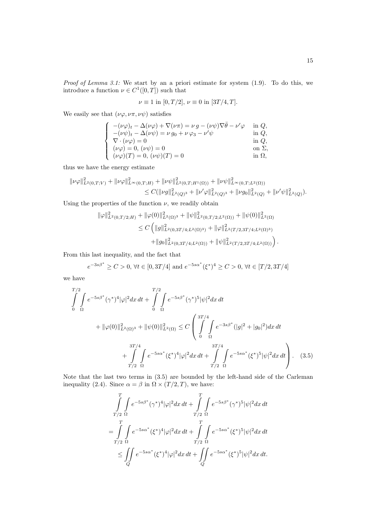Proof of Lemma 3.1: We start by an a priori estimate for system  $(1.9)$ . To do this, we introduce a function  $\nu \in C^1([0,T])$  such that

$$
\nu \equiv 1
$$
 in  $[0, T/2]$ ,  $\nu \equiv 0$  in  $[3T/4, T]$ .

We easily see that  $(\nu\varphi, \nu\pi, \nu\psi)$  satisfies

$$
\label{eq:2.1} \left\{ \begin{array}{ll} -(\nu\varphi)_t - \Delta(\nu\varphi) + \nabla(\nu\pi) = \nu\,g - (\nu\psi)\nabla\bar\theta - \nu'\varphi & \mbox{ in } Q,\\ -(\nu\psi)_t - \Delta(\nu\psi) = \nu\,g_0 + \nu\,\varphi_3 - \nu'\psi & \mbox{ in } Q,\\ \nabla\cdot(\nu\varphi) = 0 & \mbox{ in } Q,\\ (\nu\varphi) = 0,\,(\nu\psi) = 0 & \mbox{ on } \Sigma,\\ (\nu\varphi)(T) = 0,\,(\nu\psi)(T) = 0 & \mbox{ in } \Omega, \end{array} \right.
$$

thus we have the energy estimate

$$
\begin{aligned} \|\nu \varphi\|^2_{L^2(0,T;V)}+\|\nu \varphi\|^2_{L^\infty(0,T;H)}+\|\nu \psi\|^2_{L^2(0,T;H^1(\Omega))}+\|\nu \psi\|^2_{L^\infty(0,T;L^2(\Omega))}\\ &\leq C(\|\nu g\|^2_{L^2(Q)^3}+\|\nu' \varphi\|^2_{L^2(Q)^3}+\|\nu g_0\|^2_{L^2(Q)}+\|\nu' \psi\|^2_{L^2(Q)}). \end{aligned}
$$

Using the properties of the function  $\nu$ , we readily obtain

$$
\|\varphi\|_{L^2(0,T/2;H)}^2 + \|\varphi(0)\|_{L^2(\Omega)^3}^2 + \|\psi\|_{L^2(0,T/2;L^2(\Omega))}^2 + \|\psi(0)\|_{L^2(\Omega)}^2
$$
  
\n
$$
\leq C \left( \|g\|_{L^2(0,3T/4;L^2(\Omega)^3)}^2 + \|\varphi\|_{L^2(T/2,3T/4;L^2(\Omega)^3)}^2 + \|g_0\|_{L^2(0,3T/4;L^2(\Omega))}^2 + \|\psi\|_{L^2(T/2,3T/4;L^2(\Omega))}^2 \right).
$$

From this last inequality, and the fact that

$$
e^{-3s\beta^*} \ge C > 0
$$
,  $\forall t \in [0, 3T/4]$  and  $e^{-5s\alpha^*}(\xi^*)^4 \ge C > 0$ ,  $\forall t \in [T/2, 3T/4]$ 

we have

$$
\int_{0}^{T/2} \int_{\Omega} e^{-5s\beta^*} (\gamma^*)^4 |\varphi|^2 dx dt + \int_{0}^{T/2} \int_{\Omega} e^{-5s\beta^*} (\gamma^*)^5 |\psi|^2 dx dt
$$
  
+  $||\varphi(0)||_{L^2(\Omega)^3}^2 + ||\psi(0)||_{L^2(\Omega)}^2 \le C \left( \int_{0}^{3T/4} \int_{\Omega} e^{-3s\beta^*} (|g|^2 + |g_0|^2) dx dt + \int_{T/2}^{3T/4} \int_{\Omega} e^{-5s\alpha^*} (\xi^*)^4 |\varphi|^2 dx dt + \int_{T/2}^{3T/4} \int_{\Omega} e^{-5s\alpha^*} (\xi^*)^5 |\psi|^2 dx dt \right). \tag{3.5}$ 

Note that the last two terms in (3.5) are bounded by the left-hand side of the Carleman inequality (2.4). Since  $\alpha = \beta$  in  $\Omega \times (T/2, T)$ , we have:

$$
\int_{T/2}^{T} \int_{\Omega} e^{-5s\beta^*} (\gamma^*)^4 |\varphi|^2 dx dt + \int_{T/2}^{T} \int_{\Omega} e^{-5s\beta^*} (\gamma^*)^5 |\psi|^2 dx dt \n= \int_{T/2}^{T} \int_{\Omega} e^{-5s\alpha^*} (\xi^*)^4 |\varphi|^2 dx dt + \int_{T/2}^{T} \int_{\Omega} e^{-5s\alpha^*} (\xi^*)^5 |\psi|^2 dx dt \n\leq \iint_{Q} e^{-5s\alpha^*} (\xi^*)^4 |\varphi|^2 dx dt + \iint_{Q} e^{-5s\alpha^*} (\xi^*)^5 |\psi|^2 dx dt.
$$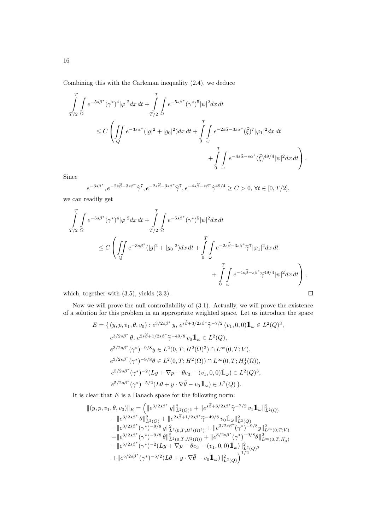Combining this with the Carleman inequality (2.4), we deduce

$$
\int_{T/2}^{T} \int_{\Omega} e^{-5s\beta^*} (\gamma^*)^4 |\varphi|^2 dx dt + \int_{T/2}^{T} \int_{\Omega} e^{-5s\beta^*} (\gamma^*)^5 |\psi|^2 dx dt
$$
  
\n
$$
\leq C \left( \iint_{Q} e^{-3s\alpha^*} (|g|^2 + |g_0|^2) dx dt + \int_{0}^{T} \int_{\omega} e^{-2s\widehat{\alpha} - 3s\alpha^*} (\widehat{\xi})^7 |\varphi_1|^2 dx dt + \int_{0}^{T} \int_{\omega} e^{-4s\widehat{\alpha} - s\alpha^*} (\widehat{\xi})^{49/4} |\psi|^2 dx dt \right).
$$

Since

$$
e^{-3s\beta^*}, e^{-2s\widehat{\beta}-3s\beta^*}\widehat{\gamma}^7, e^{-2s\widehat{\beta}-3s\beta^*}\widehat{\gamma}^7, e^{-4s\widehat{\beta}-s\beta^*}\widehat{\gamma}^{49/4} \ge C > 0, \forall t \in [0, T/2],
$$

we can readily get

$$
\int_{T/2}^{T} \int_{\Omega} e^{-5s\beta^*} (\gamma^*)^4 |\varphi|^2 dx dt + \int_{T/2}^{T} \int_{\Omega} e^{-5s\beta^*} (\gamma^*)^5 |\psi|^2 dx dt
$$
  

$$
\leq C \left( \iint_{Q} e^{-3s\beta^*} (|g|^2 + |g_0|^2) dx dt + \int_{0}^{T} \int_{\omega} e^{-2s\widehat{\beta} - 3s\beta^*} \widehat{\gamma}^7 |\varphi_1|^2 dx dt + \int_{0}^{T} \int_{\omega} e^{-4s\widehat{\beta} - s\beta^*} \widehat{\gamma}^{49/4} |\psi|^2 dx dt \right),
$$

which, together with (3.5), yields (3.3).

Now we will prove the null controllability of (3.1). Actually, we will prove the existence of a solution for this problem in an appropriate weighted space. Let us introduce the space

 $\Box$ 

$$
E = \{ (y, p, v_1, \theta, v_0) : e^{3/2s\beta^*} y, e^{s\widehat{\beta} + 3/2s\beta^*} \widehat{\gamma}^{-7/2} (v_1, 0, 0) 1\!\!1_{\omega} \in L^2(Q)^3,
$$
  
\n
$$
e^{3/2s\beta^*} \theta, e^{2s\widehat{\beta} + 1/2s\beta^*} \widehat{\gamma}^{-49/8} v_0 1\!\!1_{\omega} \in L^2(Q),
$$
  
\n
$$
e^{3/2s\beta^*} (\gamma^*)^{-9/8} y \in L^2(0, T; H^2(\Omega)^3) \cap L^\infty(0, T; V),
$$
  
\n
$$
e^{3/2s\beta^*} (\gamma^*)^{-9/8} \theta \in L^2(0, T; H^2(\Omega)) \cap L^\infty(0, T; H^1_0(\Omega)),
$$
  
\n
$$
e^{5/2s\beta^*} (\gamma^*)^{-2} (Ly + \nabla p - \theta e_3 - (v_1, 0, 0) 1\!\!1_{\omega}) \in L^2(Q)^3,
$$
  
\n
$$
e^{5/2s\beta^*} (\gamma^*)^{-5/2} (L\theta + y \cdot \nabla \overline{\theta} - v_0 1\!\!1_{\omega}) \in L^2(Q) \}.
$$

It is clear that  $E$  is a Banach space for the following norm:

$$
\begin{aligned} \| (y,p,v_1,\theta,v_0)\|_E&=\left( \|e^{3/2s\beta^*} \, y\|_{L^2(Q)^3}^2 + \|e^{s\widehat{\beta}+3/2s\beta^*} \widehat{\gamma}^{-7/2} \, v_11\!\!1_{\omega}\|_{L^2(Q)}^2 \right.\\ & \left. + \|e^{3/2s\beta^*} \,\theta\|_{L^2(Q)}^2 + \|e^{2s\widehat{\beta}+1/2s\beta^*} \widehat{\gamma}^{-49/8} \, v_01\!\!1_{\omega}\|_{L^2(Q)}^2 \right.\\ & \left. + \|e^{3/2s\beta^*} \, (\gamma^*)^{-9/8} \, y\|_{L^2(0,T;H^2(\Omega)^3)}^2 + \|e^{3/2s\beta^*} \, (\gamma^*)^{-9/8} y\|_{L^\infty(0,T;V)}^2 \right.\\ & \left. + \|e^{3/2s\beta^*} \, (\gamma^*)^{-9/8} \, \theta\|_{L^2(0,T;H^2(\Omega))}^2 + \|e^{3/2s\beta^*} \, (\gamma^*)^{-9/8} \theta\|_{L^\infty(0,T;H_0^1)}^2 \right.\\ & \left. + \|e^{5/2s\beta^*} \, (\gamma^*)^{-2} (Ly + \nabla p - \theta e_3 - (v_1,0,0)1\!\!1_{\omega})\|_{L^2(Q)}^2 \right.\\ & \left. + \|e^{5/2s\beta^*} \, (\gamma^*)^{-5/2} (L\theta + y \cdot \nabla \overline{\theta} - v_01\!\!1_{\omega})\|_{L^2(Q)}^2 \right)^{1/2} \end{aligned}
$$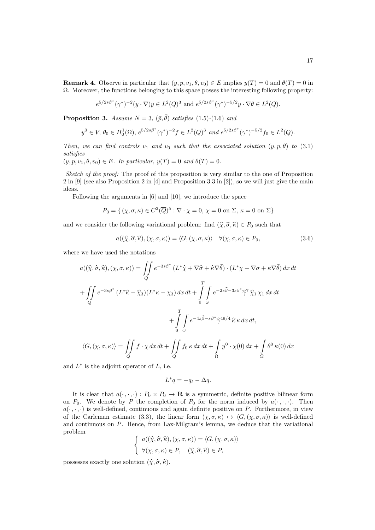**Remark 4.** Observe in particular that  $(y, p, v_1, \theta, v_0) \in E$  implies  $y(T) = 0$  and  $\theta(T) = 0$  in  $\Omega$ . Moreover, the functions belonging to this space posses the interesting following property:

$$
e^{5/2s\beta^*}(\gamma^*)^{-2}(y\cdot \nabla)y \in L^2(Q)^3 \text{ and } e^{5/2s\beta^*}(\gamma^*)^{-5/2}y \cdot \nabla \theta \in L^2(Q).
$$

**Proposition 3.** Assume  $N = 3$ ,  $(\bar{p}, \bar{\theta})$  satisfies (1.5)-(1.6) and

$$
y^0 \in V
$$
,  $\theta_0 \in H_0^1(\Omega)$ ,  $e^{5/2s\beta^*}(\gamma^*)^{-2}f \in L^2(Q)^3$  and  $e^{5/2s\beta^*}(\gamma^*)^{-5/2}f_0 \in L^2(Q)$ .

Then, we can find controls  $v_1$  and  $v_0$  such that the associated solution  $(y, p, \theta)$  to (3.1) satisfies

 $(y, p, v_1, \theta, v_0) \in E$ . In particular,  $y(T) = 0$  and  $\theta(T) = 0$ .

Sketch of the proof: The proof of this proposition is very similar to the one of Proposition 2 in [9] (see also Proposition 2 in [4] and Proposition 3.3 in [2]), so we will just give the main ideas.

Following the arguments in [6] and [10], we introduce the space

$$
P_0 = \{ (\chi, \sigma, \kappa) \in C^2(\overline{Q})^5 : \nabla \cdot \chi = 0, \chi = 0 \text{ on } \Sigma, \kappa = 0 \text{ on } \Sigma \}
$$

and we consider the following variational problem: find  $(\hat{\chi}, \hat{\sigma}, \hat{\kappa}) \in P_0$  such that

$$
a((\widehat{\chi}, \widehat{\sigma}, \widehat{\kappa}), (\chi, \sigma, \kappa)) = \langle G, (\chi, \sigma, \kappa) \rangle \quad \forall (\chi, \sigma, \kappa) \in P_0,
$$
\n(3.6)

where we have used the notations

$$
a((\hat{\chi}, \hat{\sigma}, \hat{\kappa}), (\chi, \sigma, \kappa)) = \iint_{Q} e^{-3s\beta^*} (L^* \hat{\chi} + \nabla \hat{\sigma} + \hat{\kappa} \nabla \bar{\theta}) \cdot (L^* \chi + \nabla \sigma + \kappa \nabla \bar{\theta}) dx dt
$$
  
+ 
$$
\iint_{Q} e^{-3s\beta^*} (L^* \hat{\kappa} - \hat{\chi}_3) (L^* \kappa - \chi_3) dx dt + \int_{0}^{T} \int_{\omega} e^{-2s\hat{\beta} - 3s\beta^*} \hat{\gamma}^7 \hat{\chi}_1 \chi_1 dx dt
$$
  
+ 
$$
\int_{0}^{T} \int_{\omega} e^{-4s\hat{\beta} - s\beta^*} \hat{\gamma}^{49/4} \hat{\kappa} \kappa dx dt,
$$
  

$$
\langle G, (\chi, \sigma, \kappa) \rangle = \iint_{Q} f \cdot \chi dx dt + \iint_{Q} f_0 \kappa dx dt + \int_{\Omega} y^0 \cdot \chi(0) dx + \int_{\Omega} \theta^0 \kappa(0) dx
$$

and  $L^*$  is the adjoint operator of  $L$ , i.e.

$$
L^*q = -q_t - \Delta q.
$$

It is clear that  $a(\cdot, \cdot, \cdot) : P_0 \times P_0 \to \mathbf{R}$  is a symmetric, definite positive bilinear form on  $P_0$ . We denote by P the completion of  $P_0$  for the norm induced by  $a(\cdot, \cdot, \cdot)$ . Then  $a(\cdot, \cdot, \cdot)$  is well-defined, continuous and again definite positive on P. Furthermore, in view of the Carleman estimate (3.3), the linear form  $(\chi, \sigma, \kappa) \mapsto \langle G, (\chi, \sigma, \kappa) \rangle$  is well-defined and continuous on P. Hence, from Lax-Milgram's lemma, we deduce that the variational problem

$$
\begin{cases}\n a((\widehat{\chi}, \widehat{\sigma}, \widehat{\kappa}), (\chi, \sigma, \kappa)) = \langle G, (\chi, \sigma, \kappa) \rangle \\
 \forall (\chi, \sigma, \kappa) \in P, \quad (\widehat{\chi}, \widehat{\sigma}, \widehat{\kappa}) \in P,\n\end{cases}
$$

possesses exactly one solution  $(\widehat{\chi}, \widehat{\sigma}, \widehat{\kappa})$ .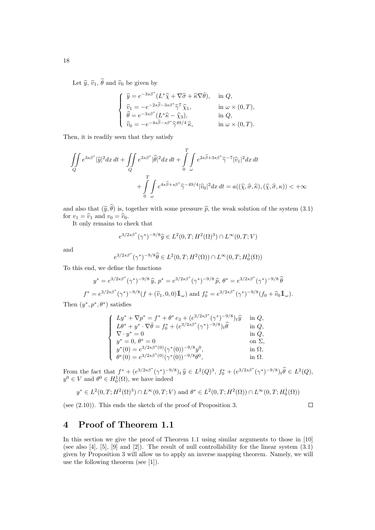Let  $\widehat{y}$ ,  $\widehat{v}_1$ ,  $\widehat{\theta}$  and  $\widehat{v}_0$  be given by

$$
\begin{cases}\n\hat{y} = e^{-3s\beta^*} (L^* \hat{\chi} + \nabla \hat{\sigma} + \hat{\kappa} \nabla \bar{\theta}), & \text{in } Q, \\
\hat{v}_1 = -e^{-2s\hat{\beta} - 3s\beta^*} \hat{\gamma}^7 \hat{\chi}_1, & \text{in } \omega \times (0, T), \\
\hat{\theta} = e^{-3s\beta^*} (L^* \hat{\kappa} - \hat{\chi}_3), & \text{in } Q, \\
\hat{v}_0 = -e^{-4s\hat{\beta} - s\beta^*} \hat{\gamma}^{49/4} \hat{\kappa}, & \text{in } \omega \times (0, T).\n\end{cases}
$$

Then, it is readily seen that they satisfy

$$
\iint\limits_{Q} e^{3s\beta^*} |\widehat{y}|^2 dx dt + \iint\limits_{Q} e^{3s\beta^*} |\widehat{\theta}|^2 dx dt + \int\limits_{0}^{T} \int\limits_{\omega} e^{2s\widehat{\beta} + 3s\beta^*} \widehat{\gamma}^{-7} |\widehat{v}_1|^2 dx dt + \int\limits_{0}^{T} \int\limits_{\omega} e^{4s\widehat{\beta} + s\beta^*} \widehat{\gamma}^{-49/4} |\widehat{v}_0|^2 dx dt = a((\widehat{\chi}, \widehat{\sigma}, \widehat{\kappa}), (\widehat{\chi}, \widehat{\sigma}, \kappa)) < +\infty
$$

and also that  $(\widehat{y}, \widehat{\theta})$  is, together with some pressure  $\widehat{p}$ , the weak solution of the system (3.1) for  $v_1 = \hat{v}_1$  and  $v_0 = \hat{v}_0$ .

It only remains to check that

$$
e^{3/2s\beta^*}(\gamma^*)^{-9/8}\hat{y} \in L^2(0,T;H^2(\Omega)^3) \cap L^\infty(0,T;V)
$$

and

$$
e^{3/2s\beta^*}(\gamma^*)^{-9/8}\hat{\theta} \in L^2(0,T;H^2(\Omega)) \cap L^{\infty}(0,T;H^1_0(\Omega))
$$

To this end, we define the functions

$$
y^* = e^{3/2s\beta^*}(\gamma^*)^{-9/8}\,\hat{y},\, p^* = e^{3/2s\beta^*}(\gamma^*)^{-9/8}\,\hat{p},\, \theta^* = e^{3/2s\beta^*}(\gamma^*)^{-9/8}\,\hat{\theta}
$$
  

$$
f^* = e^{3/2s\beta^*}(\gamma^*)^{-9/8}(f+(\hat{v}_1,0,0)\mathbb{1}_{\omega})\text{ and }f_0^* = e^{3/2s\beta^*}(\gamma^*)^{-9/8}(f_0+\hat{v}_0\mathbb{1}_{\omega}).
$$

Then  $(y^*, p^*, \theta^*)$  satisfies

$$
\begin{cases}\nLy^* + \nabla p^* = f^* + \theta^* e_3 + (e^{3/2s\beta^*} (\gamma^*)^{-9/8})_t \hat{y} & \text{in } Q, \\
L\theta^* + y^* \cdot \nabla \bar{\theta} = f_0^* + (e^{3/2s\beta^*} (\gamma^*)^{-9/8})_t \hat{\theta} & \text{in } Q, \\
\nabla \cdot y^* = 0 & \text{in } Q, \\
y^* = 0, \theta^* = 0 & \text{on } \Sigma, \\
y^*(0) = e^{3/2s\beta^*(0)} (\gamma^*(0))^{-9/8} y^0, & \text{in } \Omega, \\
\theta^*(0) = e^{3/2s\beta^*(0)} (\gamma^*(0))^{-9/8} \theta^0, & \text{in } \Omega.\n\end{cases}
$$

From the fact that  $f^* + (e^{3/2s\beta^*}(\gamma^*)^{-9/8})_t \hat{y} \in L^2(Q)^3$ ,  $f_0^* + (e^{3/2s\beta^*}(\gamma^*)^{-9/8})_t \hat{\theta} \in L^2(Q)$ ,<br> $e^{i\theta} \in K$  and  $\theta^0 \in H^1(\Omega)$  we have indeed  $y^0 \in V$  and  $\theta^0 \in H_0^1(\Omega)$ , we have indeed

$$
y^* \in L^2(0,T; H^2(\Omega)^3) \cap L^\infty(0,T; V)
$$
 and  $\theta^* \in L^2(0,T; H^2(\Omega)) \cap L^\infty(0,T; H^1_0(\Omega))$ 

(see (2.10)). This ends the sketch of the proof of Proposition 3.

 $\Box$ 

### 4 Proof of Theorem 1.1

In this section we give the proof of Theorem 1.1 using similar arguments to those in [10] (see also  $[4]$ ,  $[5]$ ,  $[9]$  and  $[2]$ ). The result of null controllability for the linear system  $(3.1)$ given by Proposition 3 will allow us to apply an inverse mapping theorem. Namely, we will use the following theorem (see [1]).

18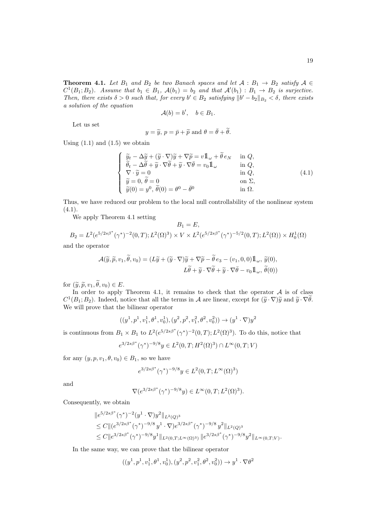**Theorem 4.1.** Let  $B_1$  and  $B_2$  be two Banach spaces and let  $A : B_1 \rightarrow B_2$  satisfy  $A \in$  $C^1(B_1;B_2)$ . Assume that  $b_1 \in B_1$ ,  $\mathcal{A}(b_1) = b_2$  and that  $\mathcal{A}'(b_1) : B_1 \to B_2$  is surjective. Then, there exists  $\delta > 0$  such that, for every  $b' \in B_2$  satisfying  $||b' - b_2||_{B_2} < \delta$ , there exists a solution of the equation

$$
\mathcal{A}(b) = b', \quad b \in B_1.
$$

Let us set

$$
y = \tilde{y}, p = \bar{p} + \tilde{p}
$$
 and  $\theta = \bar{\theta} + \tilde{\theta}$ .

Using  $(1.1)$  and  $(1.5)$  we obtain

$$
\begin{cases}\n\widetilde{y}_t - \Delta \widetilde{y} + (\widetilde{y} \cdot \nabla)\widetilde{y} + \nabla \widetilde{p} = v \mathbb{1}_{\omega} + \widetilde{\theta} e_N & \text{in } Q, \\
\widetilde{\theta}_t - \Delta \widetilde{\theta} + \widetilde{y} \cdot \nabla \widetilde{\theta} + \widetilde{y} \cdot \nabla \overline{\theta} = v_0 \mathbb{1}_{\omega} & \text{in } Q, \\
\nabla \cdot \widetilde{y} = 0 & \text{in } Q, \\
\widetilde{y} = 0, \widetilde{\theta} = 0 & \text{on } \Sigma, \\
\widetilde{y}(0) = y^0, \widetilde{\theta}(0) = \theta^0 - \overline{\theta}^0 & \text{in } \Omega.\n\end{cases}
$$
\n(4.1)

Thus, we have reduced our problem to the local null controllability of the nonlinear system  $(4.1).$ 

We apply Theorem 4.1 setting

$$
B_1 = E,
$$
  
\n
$$
B_2 = L^2(e^{5/2s\beta^*}(\gamma^*)^{-2}(0,T); L^2(\Omega)^3) \times V \times L^2(e^{5/2s\beta^*}(\gamma^*)^{-5/2}(0,T); L^2(\Omega)) \times H_0^1(\Omega)
$$

and the operator

$$
\mathcal{A}(\widetilde{y}, \widetilde{p}, v_1, \widetilde{\theta}, v_0) = (L\widetilde{y} + (\widetilde{y} \cdot \nabla)\widetilde{y} + \nabla \widetilde{p} - \widetilde{\theta} e_3 - (v_1, 0, 0) \mathbb{1}_{\omega}, \widetilde{y}(0),
$$

$$
L\widetilde{\theta} + \widetilde{y} \cdot \nabla \widetilde{\theta} + \widetilde{y} \cdot \nabla \widetilde{\theta} - v_0 \mathbb{1}_{\omega}, \widetilde{\theta}(0))
$$

for  $(\widetilde{y}, \widetilde{p}, v_1, \widetilde{\theta}, v_0) \in E$ .

In order to apply Theorem 4.1, it remains to check that the operator  $A$  is of class  $C^1(B_1; B_2)$ . Indeed, notice that all the terms in A are linear, except for  $(\tilde{y} \cdot \nabla)\tilde{y}$  and  $\tilde{y} \cdot \nabla \theta$ .<br>We will prove that the bilinear executor We will prove that the bilinear operator

$$
((y^1,p^1,v_1^1,\theta^1,v_0^1),(y^2,p^2,v_1^2,\theta^2,v_0^2)) \to (y^1 \cdot \nabla)y^2
$$

is continuous from  $B_1 \times B_1$  to  $L^2(e^{5/2s\beta^*}(\gamma^*)^{-2}(0,T); L^2(\Omega)^3)$ . To do this, notice that

$$
e^{3/2s\beta^*}(\gamma^*)^{-9/8}y \in L^2(0,T;H^2(\Omega)^3) \cap L^\infty(0,T;V)
$$

for any  $(y, p, v_1, \theta, v_0) \in B_1$ , so we have

$$
e^{3/2s\beta^*}(\gamma^*)^{-9/8}y\in L^2(0,T;L^\infty(\Omega)^3)
$$

and

$$
\nabla(e^{3/2s\beta^*}(\gamma^*)^{-9/8}y) \in L^{\infty}(0,T;L^2(\Omega)^3).
$$

Consequently, we obtain

$$
\|e^{5/2s\beta^*}(\gamma^*)^{-2}(y^1\cdot\nabla)y^2\|_{L^2(Q)^3} \leq C \|(e^{3/2s\beta^*}(\gamma^*)^{-9/8}y^1\cdot\nabla)e^{3/2s\beta^*}(\gamma^*)^{-9/8}y^2\|_{L^2(Q)^3} \leq C \|e^{3/2s\beta^*}(\gamma^*)^{-9/8}y^1\|_{L^2(0,T;L^\infty(\Omega)^3)} \|e^{3/2s\beta^*}(\gamma^*)^{-9/8}y^2\|_{L^\infty(0,T;V)}.
$$

In the same way, we can prove that the bilinear operator

$$
((y^1, p^1, v_1^1, \theta^1, v_0^1), (y^2, p^2, v_1^2, \theta^2, v_0^2)) \rightarrow y^1 \cdot \nabla \theta^2
$$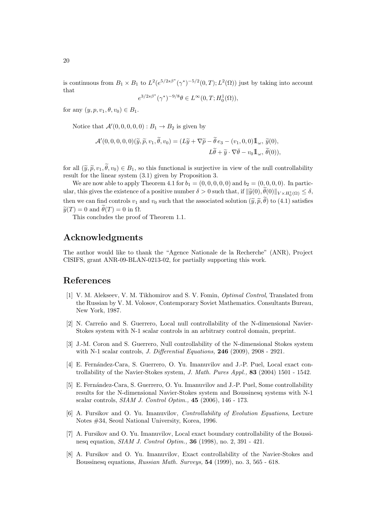is continuous from  $B_1 \times B_1$  to  $L^2(e^{5/2s\beta^*}(\gamma^*)^{-5/2}(0,T); L^2(\Omega))$  just by taking into account that

$$
e^{3/2s\beta^*}(\gamma^*)^{-9/8}\theta \in L^\infty(0,T;H_0^1(\Omega)),
$$

for any  $(y, p, v_1, \theta, v_0) \in B_1$ .

Notice that  $\mathcal{A}'(0,0,0,0,0) : B_1 \to B_2$  is given by

$$
\mathcal{A}'(0,0,0,0,0)(\widetilde{y},\widetilde{p},v_1,\widetilde{\theta},v_0)=(L\widetilde{y}+\nabla\widetilde{p}-\widetilde{\theta}e_3-(v_1,0,0)\mathbb{1}_{\omega},\widetilde{y}(0),
$$
  

$$
L\widetilde{\theta}+\widetilde{y}\cdot\nabla\overline{\theta}-v_0\mathbb{1}_{\omega},\widetilde{\theta}(0)),
$$

for all  $(\tilde{y}, \tilde{p}, v_1, \tilde{\theta}, v_0) \in B_1$ , so this functional is surjective in view of the null controllability result for the linear system (3.1) given by Proposition 3.

We are now able to apply Theorem 4.1 for  $b_1 = (0, 0, 0, 0, 0)$  and  $b_2 = (0, 0, 0, 0)$ . In particular, this gives the existence of a positive number  $\delta > 0$  such that, if  $\|\widetilde{y}(0), \theta(0)\|_{V \times H_0^1(\Omega)} \leq \delta$ , then we can find controls  $v_1$  and  $v_0$  such that the associated solution  $(\tilde{y}, \tilde{p}, \tilde{\theta})$  to (4.1) satisfies  $\widetilde{y}(T) = 0$  and  $\widetilde{\theta}(T) = 0$  in  $\Omega$ .

This concludes the proof of Theorem 1.1.

# Acknowledgments

The author would like to thank the "Agence Nationale de la Recherche" (ANR), Project CISIFS, grant ANR-09-BLAN-0213-02, for partially supporting this work.

## References

- [1] V. M. Alekseev, V. M. Tikhomirov and S. V. Fomin, Optimal Control, Translated from the Russian by V. M. Volosov, Contemporary Soviet Mathematics. Consultants Bureau, New York, 1987.
- [2] N. Carreño and S. Guerrero, Local null controllability of the N-dimensional Navier-Stokes system with N-1 scalar controls in an arbitrary control domain, preprint.
- [3] J.-M. Coron and S. Guerrero, Null controllability of the N-dimensional Stokes system with N-1 scalar controls, *J. Differential Equations*, **246** (2009), 2908 - 2921.
- [4] E. Fernández-Cara, S. Guerrero, O. Yu. Imanuvilov and J.-P. Puel, Local exact controllability of the Navier-Stokes system, J. Math. Pures Appl., 83 (2004) 1501 - 1542.
- [5] E. Fernández-Cara, S. Guerrero, O. Yu. Imanuvilov and J.-P. Puel, Some controllability results for the N-dimensional Navier-Stokes system and Boussinesq systems with N-1 scalar controls, SIAM J. Control Optim., 45 (2006), 146 - 173.
- [6] A. Fursikov and O. Yu. Imanuvilov, Controllability of Evolution Equations, Lecture Notes #34, Seoul National University, Korea, 1996.
- [7] A. Fursikov and O. Yu. Imanuvilov, Local exact boundary controllability of the Boussinesq equation, SIAM J. Control Optim., 36 (1998), no. 2, 391 - 421.
- [8] A. Fursikov and O. Yu. Imanuvilov, Exact controllability of the Navier-Stokes and Boussinesq equations, Russian Math. Surveys, 54 (1999), no. 3, 565 - 618.